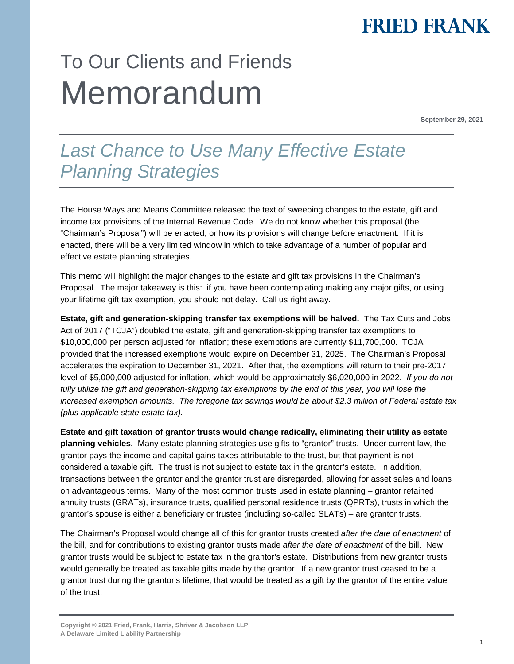## **FRIED FRANK**

# To Our Clients and Friends Memorandum

**September 29, 2021** 

### *Last Chance to Use Many Effective Estate Planning Strategies*

The House Ways and Means Committee released the text of sweeping changes to the estate, gift and income tax provisions of the Internal Revenue Code. We do not know whether this proposal (the "Chairman's Proposal") will be enacted, or how its provisions will change before enactment. If it is enacted, there will be a very limited window in which to take advantage of a number of popular and effective estate planning strategies.

This memo will highlight the major changes to the estate and gift tax provisions in the Chairman's Proposal. The major takeaway is this: if you have been contemplating making any major gifts, or using your lifetime gift tax exemption, you should not delay. Call us right away.

**Estate, gift and generation-skipping transfer tax exemptions will be halved.** The Tax Cuts and Jobs Act of 2017 ("TCJA") doubled the estate, gift and generation-skipping transfer tax exemptions to \$10,000,000 per person adjusted for inflation; these exemptions are currently \$11,700,000. TCJA provided that the increased exemptions would expire on December 31, 2025. The Chairman's Proposal accelerates the expiration to December 31, 2021. After that, the exemptions will return to their pre-2017 level of \$5,000,000 adjusted for inflation, which would be approximately \$6,020,000 in 2022. *If you do not*  fully utilize the gift and generation-skipping tax exemptions by the end of this year, you will lose the *increased exemption amounts. The foregone tax savings would be about \$2.3 million of Federal estate tax (plus applicable state estate tax).* 

**Estate and gift taxation of grantor trusts would change radically, eliminating their utility as estate planning vehicles.** Many estate planning strategies use gifts to "grantor" trusts. Under current law, the grantor pays the income and capital gains taxes attributable to the trust, but that payment is not considered a taxable gift. The trust is not subject to estate tax in the grantor's estate. In addition, transactions between the grantor and the grantor trust are disregarded, allowing for asset sales and loans on advantageous terms. Many of the most common trusts used in estate planning – grantor retained annuity trusts (GRATs), insurance trusts, qualified personal residence trusts (QPRTs), trusts in which the grantor's spouse is either a beneficiary or trustee (including so-called SLATs) – are grantor trusts.

The Chairman's Proposal would change all of this for grantor trusts created *after the date of enactment* of the bill, and for contributions to existing grantor trusts made *after the date of enactment* of the bill. New grantor trusts would be subject to estate tax in the grantor's estate. Distributions from new grantor trusts would generally be treated as taxable gifts made by the grantor. If a new grantor trust ceased to be a grantor trust during the grantor's lifetime, that would be treated as a gift by the grantor of the entire value of the trust.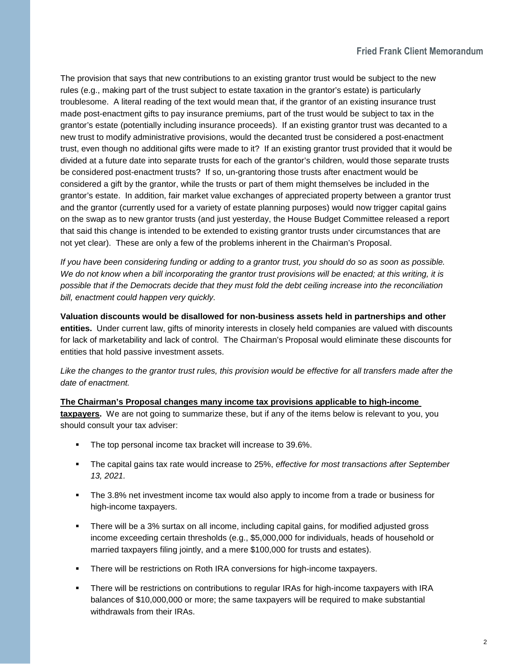The provision that says that new contributions to an existing grantor trust would be subject to the new rules (e.g., making part of the trust subject to estate taxation in the grantor's estate) is particularly troublesome. A literal reading of the text would mean that, if the grantor of an existing insurance trust made post-enactment gifts to pay insurance premiums, part of the trust would be subject to tax in the grantor's estate (potentially including insurance proceeds). If an existing grantor trust was decanted to a new trust to modify administrative provisions, would the decanted trust be considered a post-enactment trust, even though no additional gifts were made to it? If an existing grantor trust provided that it would be divided at a future date into separate trusts for each of the grantor's children, would those separate trusts be considered post-enactment trusts? If so, un-grantoring those trusts after enactment would be considered a gift by the grantor, while the trusts or part of them might themselves be included in the grantor's estate. In addition, fair market value exchanges of appreciated property between a grantor trust and the grantor (currently used for a variety of estate planning purposes) would now trigger capital gains on the swap as to new grantor trusts (and just yesterday, the House Budget Committee released a report that said this change is intended to be extended to existing grantor trusts under circumstances that are not yet clear). These are only a few of the problems inherent in the Chairman's Proposal.

*If you have been considering funding or adding to a grantor trust, you should do so as soon as possible. We do not know when a bill incorporating the grantor trust provisions will be enacted; at this writing, it is possible that if the Democrats decide that they must fold the debt ceiling increase into the reconciliation bill, enactment could happen very quickly.* 

**Valuation discounts would be disallowed for non-business assets held in partnerships and other entities.** Under current law, gifts of minority interests in closely held companies are valued with discounts for lack of marketability and lack of control. The Chairman's Proposal would eliminate these discounts for entities that hold passive investment assets.

*Like the changes to the grantor trust rules, this provision would be effective for all transfers made after the date of enactment.* 

**The Chairman's Proposal changes many income tax provisions applicable to high-income taxpayers.** We are not going to summarize these, but if any of the items below is relevant to you, you should consult your tax adviser:

- The top personal income tax bracket will increase to 39.6%.
- The capital gains tax rate would increase to 25%, *effective for most transactions after September 13, 2021.*
- The 3.8% net investment income tax would also apply to income from a trade or business for high-income taxpayers.
- There will be a 3% surtax on all income, including capital gains, for modified adjusted gross income exceeding certain thresholds (e.g., \$5,000,000 for individuals, heads of household or married taxpayers filing jointly, and a mere \$100,000 for trusts and estates).
- There will be restrictions on Roth IRA conversions for high-income taxpayers.
- There will be restrictions on contributions to regular IRAs for high-income taxpayers with IRA balances of \$10,000,000 or more; the same taxpayers will be required to make substantial withdrawals from their IRAs.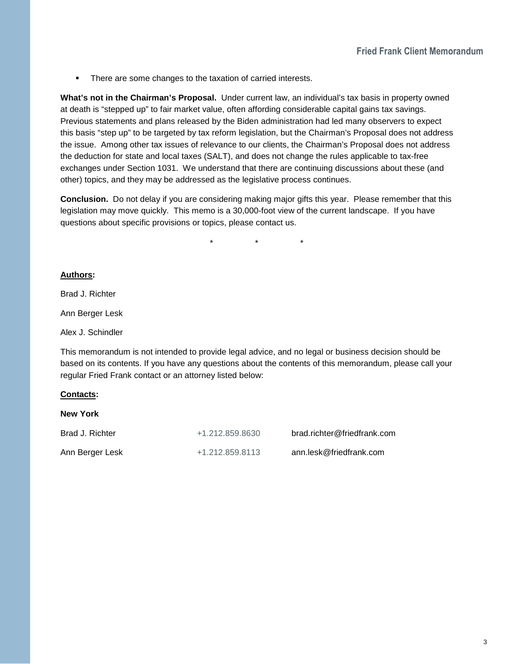**There are some changes to the taxation of carried interests.** 

**What's not in the Chairman's Proposal.** Under current law, an individual's tax basis in property owned at death is "stepped up" to fair market value, often affording considerable capital gains tax savings. Previous statements and plans released by the Biden administration had led many observers to expect this basis "step up" to be targeted by tax reform legislation, but the Chairman's Proposal does not address the issue. Among other tax issues of relevance to our clients, the Chairman's Proposal does not address the deduction for state and local taxes (SALT), and does not change the rules applicable to tax-free exchanges under Section 1031. We understand that there are continuing discussions about these (and other) topics, and they may be addressed as the legislative process continues.

**Conclusion.** Do not delay if you are considering making major gifts this year. Please remember that this legislation may move quickly. This memo is a 30,000-foot view of the current landscape. If you have questions about specific provisions or topics, please contact us.

\* \* \*

### **Authors:**

Brad J. Richter

Ann Berger Lesk

Alex J. Schindler

This memorandum is not intended to provide legal advice, and no legal or business decision should be based on its contents. If you have any questions about the contents of this memorandum, please call your regular Fried Frank contact or an attorney listed below:

### **Contacts:**

| <b>New York</b> |                 |                             |
|-----------------|-----------------|-----------------------------|
| Brad J. Richter | +1.212.859.8630 | brad.richter@friedfrank.com |
| Ann Berger Lesk | +1.212.859.8113 | ann.lesk@friedfrank.com     |